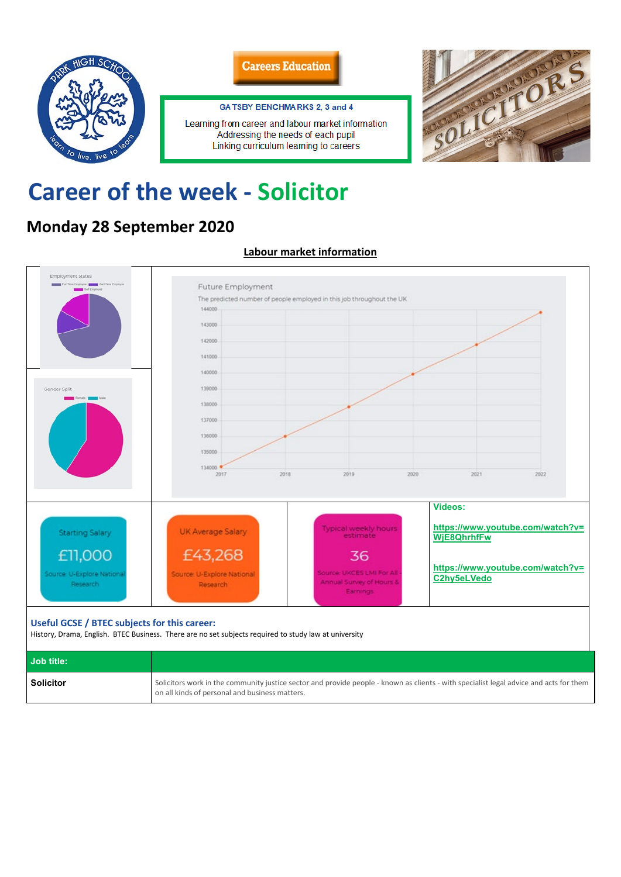



#### GA TSBY BENCHMARKS 2, 3 and 4

Learning from career and labour market information Addressing the needs of each pupil Linking curriculum learning to careers



# **Career of the week - Solicitor**

# **Monday 28 September 2020**

## **Labour market information**



**Job title:** 

| , JUN LILIG.     |                                                                                                                                                                                          |
|------------------|------------------------------------------------------------------------------------------------------------------------------------------------------------------------------------------|
| <b>Solicitor</b> | Solicitors work in the community justice sector and provide people - known as clients - with specialist legal advice and acts for them<br>on all kinds of personal and business matters. |